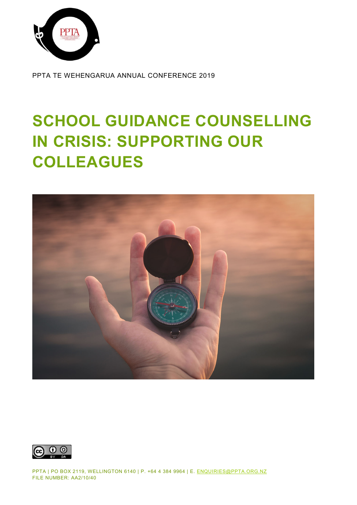

PPTA TE WEHENGARUA ANNUAL CONFERENCE 2019

# **SCHOOL GUIDANCE COUNSELLING IN CRISIS: SUPPORTING OUR COLLEAGUES**





PPTA | PO BOX 2119, WELLINGTON 6140 | P. +64 4 384 9964 | E. [ENQUIRIES@PPTA.ORG.NZ](mailto:enquiries@ppta.org.nz) FILE NUMBER: AA2/10/40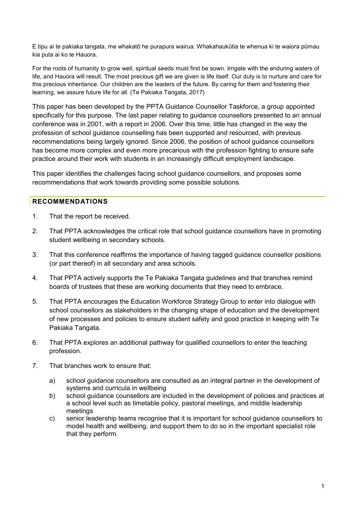E tipu ai te pakiaka tangata, me whakatō he purapura wairua. Whakahaukūtia te whenua ki te waiora pūmau kia puta ai ko te Hauora.

For the roots of humanity to grow well, spiritual seeds must first be sown. Irrigate with the enduring waters of life, and Hauora will result. The most precious gift we are given is life itself. Our duty is to nurture and care for this precious inheritance. Our children are the leaders of the future. By caring for them and fostering their learning, we assure future life for all. (Te Pakiaka Tangata, 2017)

This paper has been developed by the PPTA Guidance Counsellor Taskforce, a group appointed specifically for this purpose. The last paper relating to guidance counsellors presented to an annual conference was in 2001, with a report in 2006. Over this time, little has changed in the way the profession of school guidance counselling has been supported and resourced, with previous recommendations being largely ignored. Since 2006, the position of school guidance counsellors has become more complex and even more precarious with the profession fighting to ensure safe practice around their work with students in an increasingly difficult employment landscape.

This paper identifies the challenges facing school guidance counsellors, and proposes some recommendations that work towards providing some possible solutions.

#### <span id="page-1-0"></span>**RECOMMENDATIONS**

- 1. That the report be received.
- 2. That PPTA acknowledges the critical role that school guidance counsellors have in promoting student wellbeing in secondary schools.
- 3. That this conference reaffirms the importance of having tagged guidance counsellor positions (or part thereof) in all secondary and area schools.
- 4. That PPTA actively supports the Te Pakiaka Tangata guidelines and that branches remind boards of trustees that these are working documents that they need to embrace.
- 5. That PPTA encourages the Education Workforce Strategy Group to enter into dialogue with school counsellors as stakeholders in the changing shape of education and the development of new processes and policies to ensure student safety and good practice in keeping with Te Pakiaka Tangata.
- 6. That PPTA explores an additional pathway for qualified counsellors to enter the teaching profession.
- 7. That branches work to ensure that:
	- a) school guidance counsellors are consulted as an integral partner in the development of systems and curricula in wellbeing
	- b) school guidance counsellors are included in the development of policies and practices at a school level such as timetable policy, pastoral meetings, and middle leadership meetings
	- c) senior leadership teams recognise that it is important for school guidance counsellors to model health and wellbeing, and support them to do so in the important specialist role that they perform.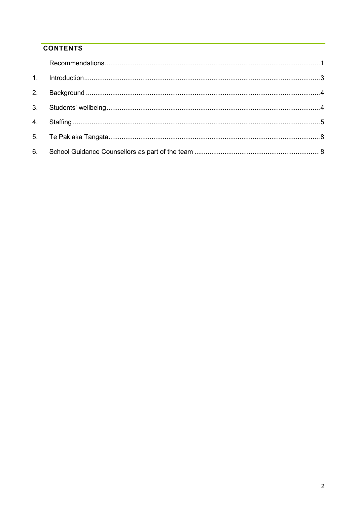# **CONTENTS**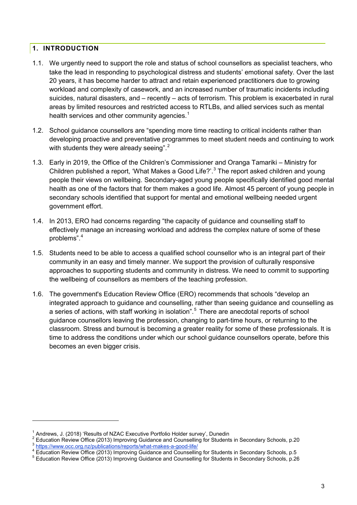#### <span id="page-3-0"></span>**1. INTRODUCTION**

- 1.1. We urgently need to support the role and status of school counsellors as specialist teachers, who take the lead in responding to psychological distress and students' emotional safety. Over the last 20 years, it has become harder to attract and retain experienced practitioners due to growing workload and complexity of casework, and an increased number of traumatic incidents including suicides, natural disasters, and – recently – acts of terrorism. This problem is exacerbated in rural areas by limited resources and restricted access to RTLBs, and allied services such as mental health services and other community agencies. $^{\mathrm{1}}$  $^{\mathrm{1}}$  $^{\mathrm{1}}$
- 1.2. School guidance counsellors are "spending more time reacting to critical incidents rather than developing proactive and preventative programmes to meet student needs and continuing to work with students they were already seeing".<sup>[2](#page-3-2)</sup>
- 1.3. Early in 2019, the Office of the Children's Commissioner and Oranga Tamariki Ministry for Children published a report, 'What Makes a Good Life?'.<sup>[3](#page-3-3)</sup> The report asked children and young people their views on wellbeing. Secondary-aged young people specifically identified good mental health as one of the factors that for them makes a good life. Almost 45 percent of young people in secondary schools identified that support for mental and emotional wellbeing needed urgent government effort.
- 1.4. In 2013, ERO had concerns regarding "the capacity of guidance and counselling staff to effectively manage an increasing workload and address the complex nature of some of these problems".[4](#page-3-4)
- 1.5. Students need to be able to access a qualified school counsellor who is an integral part of their community in an easy and timely manner. We support the provision of culturally responsive approaches to supporting students and community in distress. We need to commit to supporting the wellbeing of counsellors as members of the teaching profession.
- 1.6. The government's Education Review Office (ERO) recommends that schools "develop an integrated approach to guidance and counselling, rather than seeing guidance and counselling as a series of actions, with staff working in isolation".<sup>[5](#page-3-5)</sup> There are anecdotal reports of school guidance counsellors leaving the profession, changing to part-time hours, or returning to the classroom. Stress and burnout is becoming a greater reality for some of these professionals. It is time to address the conditions under which our school guidance counsellors operate, before this becomes an even bigger crisis.

<span id="page-3-2"></span><span id="page-3-1"></span><sup>&</sup>lt;sup>1</sup> Andrews, J. (2018) 'Results of NZAC Executive Portfolio Holder survey', Dunedin<br>
<sup>2</sup> Education Review Office (2013) Improving Guidance and Counselling for Students in Secondary Schools, p.20<br>  $\frac{3}{1}$  https://www.occ

<span id="page-3-4"></span><span id="page-3-3"></span>

<span id="page-3-5"></span>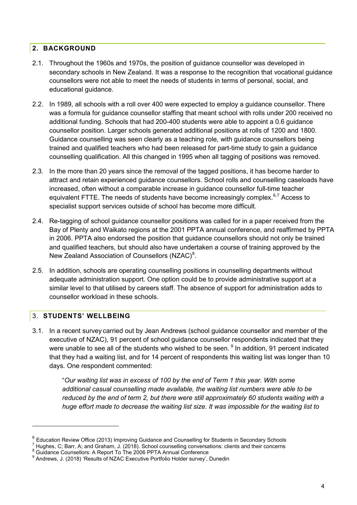#### <span id="page-4-0"></span>**2. BACKGROUND**

- 2.1. Throughout the 1960s and 1970s, the position of guidance counsellor was developed in secondary schools in New Zealand. It was a response to the recognition that vocational guidance counsellors were not able to meet the needs of students in terms of personal, social, and educational guidance.
- 2.2. In 1989, all schools with a roll over 400 were expected to employ a guidance counsellor. There was a formula for guidance counsellor staffing that meant school with rolls under 200 received no additional funding. Schools that had 200-400 students were able to appoint a 0.6 guidance counsellor position. Larger schools generated additional positions at rolls of 1200 and 1800. Guidance counselling was seen clearly as a teaching role, with guidance counsellors being trained and qualified teachers who had been released for part-time study to gain a guidance counselling qualification. All this changed in 1995 when all tagging of positions was removed.
- 2.3. In the more than 20 years since the removal of the tagged positions, it has become harder to attract and retain experienced guidance counsellors. School rolls and counselling caseloads have increased, often without a comparable increase in guidance counsellor full-time teacher equivalent FTTE. The needs of students have become increasingly complex.<sup>[6,](#page-4-2)[7](#page-4-3)</sup> Access to specialist support services outside of school has become more difficult.
- 2.4. Re-tagging of school guidance counsellor positions was called for in a paper received from the Bay of Plenty and Waikato regions at the 2001 PPTA annual conference, and reaffirmed by PPTA in 2006. PPTA also endorsed the position that guidance counsellors should not only be trained and qualified teachers, but should also have undertaken a course of training approved by the New Zealand Association of Counsellors (NZAC) $^8$  $^8$ .
- 2.5. In addition, schools are operating counselling positions in counselling departments without adequate administration support. One option could be to provide administrative support at a similar level to that utilised by careers staff. The absence of support for administration adds to counsellor workload in these schools.

#### <span id="page-4-1"></span>3. **STUDENTS' WELLBEING**

-

3.1. In a recent survey carried out by Jean Andrews (school guidance counsellor and member of the executive of NZAC), 91 percent of school guidance counsellor respondents indicated that they were unable to see all of the students who wished to be seen. <sup>[9](#page-4-5)</sup> In addition, 91 percent indicated that they had a waiting list, and for 14 percent of respondents this waiting list was longer than 10 days. One respondent commented:

> "*Our waiting list was in excess of 100 by the end of Term 1 this year. With some additional casual counselling made available, the waiting list numbers were able to be reduced by the end of term 2, but there were still approximately 60 students waiting with a huge effort made to decrease the waiting list size. It was impossible for the waiting list to*

<span id="page-4-2"></span><sup>&</sup>lt;sup>6</sup> Education Review Office (2013) Improving Guidance and Counselling for Students in Secondary Schools  $\frac{7}{1}$  Hughes, C; Barr, A; and Graham, J. (2018). School counselling conversations: clients and their concerns  $\frac$ 

<span id="page-4-4"></span><span id="page-4-3"></span>

<span id="page-4-5"></span>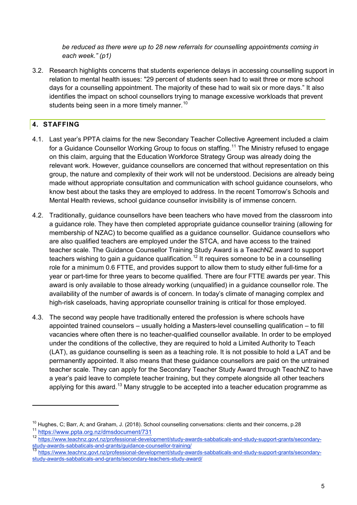*be reduced as there were up to 28 new referrals for counselling appointments coming in each week." (p1)*

3.2. Research highlights concerns that students experience delays in accessing counselling support in relation to mental health issues: "29 percent of students seen had to wait three or more school days for a counselling appointment. The majority of these had to wait six or more days." It also identifies the impact on school counsellors trying to manage excessive workloads that prevent students being seen in a more timely manner.<sup>[10](#page-5-1)</sup>

## <span id="page-5-0"></span>**4. STAFFING**

- 4.1. Last year's PPTA claims for the new Secondary Teacher Collective Agreement included a claim for a Guidance Counsellor Working Group to focus on staffing.<sup>[11](#page-5-2)</sup> The Ministry refused to engage on this claim, arguing that the Education Workforce Strategy Group was already doing the relevant work. However, guidance counsellors are concerned that without representation on this group, the nature and complexity of their work will not be understood. Decisions are already being made without appropriate consultation and communication with school guidance counselors, who know best about the tasks they are employed to address. In the recent Tomorrow's Schools and Mental Health reviews, school guidance counsellor invisibility is of immense concern.
- 4.2. Traditionally, guidance counsellors have been teachers who have moved from the classroom into a guidance role. They have then completed appropriate guidance counsellor training (allowing for membership of NZAC) to become qualified as a guidance counsellor. Guidance counsellors who are also qualified teachers are employed under the STCA, and have access to the trained teacher scale. The Guidance Counsellor Training Study Award is a TeachNZ award to support teachers wishing to gain a guidance qualification. $^{\mathsf{12}}$  $^{\mathsf{12}}$  $^{\mathsf{12}}$  It requires someone to be in a counselling role for a minimum 0.6 FTTE, and provides support to allow them to study either full-time for a year or part-time for three years to become qualified. There are four FTTE awards per year. This award is only available to those already working (unqualified) in a guidance counsellor role. The availability of the number of awards is of concern. In today's climate of managing complex and high-risk caseloads, having appropriate counsellor training is critical for those employed.
- 4.3. The second way people have traditionally entered the profession is where schools have appointed trained counselors – usually holding a Masters-level counselling qualification – to fill vacancies where often there is no teacher-qualified counsellor available. In order to be employed under the conditions of the collective, they are required to hold a Limited Authority to Teach (LAT), as guidance counselling is seen as a teaching role. It is not possible to hold a LAT and be permanently appointed. It also means that these guidance counsellors are paid on the untrained teacher scale. They can apply for the Secondary Teacher Study Award through TeachNZ to have a year's paid leave to complete teacher training, but they compete alongside all other teachers applying for this award.<sup>[13](#page-5-4)</sup> Many struggle to be accepted into a teacher education programme as

<span id="page-5-1"></span><sup>&</sup>lt;sup>10</sup> Hughes, C; Barr, A; and Graham, J. (2018). School counselling conversations: clients and their concerns, p.28<br><sup>11</sup> https://www.ppta.org.nz/dmsdocument/7<u>31</u>

<span id="page-5-3"></span><span id="page-5-2"></span><sup>12</sup> [https://www.teachnz.govt.nz/professional](https://www.teachnz.govt.nz/professional-development/study-awards-sabbaticals-and-study-support-grants/secondary-study-awards-sabbaticals-and-grants/guidance-counsellor-training/)-development/study-awards-sabbaticals-and-study-support-grants/secondary-<br>https://www.teachnz.govt.nz/professional-development/study-awards-sabbaticals-and-study-support-grants/se

<span id="page-5-4"></span>[https://www.teachnz.govt.nz/professional](https://www.teachnz.govt.nz/professional-development/study-awards-sabbaticals-and-study-support-grants/secondary-study-awards-sabbaticals-and-grants/secondary-teachers-study-award/)-development/study-awards-sabbaticals-and-study-support-grants/secondarystudy-awards-sabbaticals-and-[grants/secondary](https://www.teachnz.govt.nz/professional-development/study-awards-sabbaticals-and-study-support-grants/secondary-study-awards-sabbaticals-and-grants/secondary-teachers-study-award/)-teachers-study-award/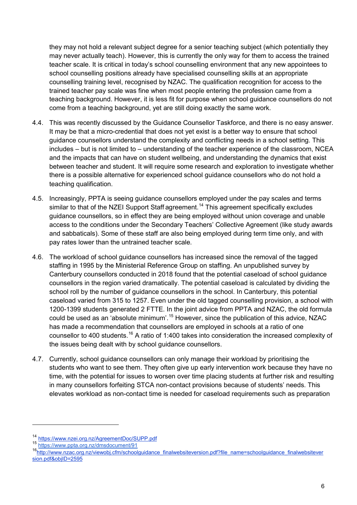they may not hold a relevant subject degree for a senior teaching subject (which potentially they may never actually teach). However, this is currently the only way for them to access the trained teacher scale. It is critical in today's school counselling environment that any new appointees to school counselling positions already have specialised counselling skills at an appropriate counselling training level, recognised by NZAC. The qualification recognition for access to the trained teacher pay scale was fine when most people entering the profession came from a teaching background. However, it is less fit for purpose when school guidance counsellors do not come from a teaching background, yet are still doing exactly the same work.

- 4.4. This was recently discussed by the Guidance Counsellor Taskforce, and there is no easy answer. It may be that a micro-credential that does not yet exist is a better way to ensure that school guidance counsellors understand the complexity and conflicting needs in a school setting. This includes – but is not limited to – understanding of the teacher experience of the classroom, NCEA and the impacts that can have on student wellbeing, and understanding the dynamics that exist between teacher and student. It will require some research and exploration to investigate whether there is a possible alternative for experienced school guidance counsellors who do not hold a teaching qualification.
- 4.5. Increasingly, PPTA is seeing guidance counsellors employed under the pay scales and terms similar to that of the NZEI Support Staff agreement.<sup>[14](#page-6-0)</sup> This agreement specifically excludes guidance counsellors, so in effect they are being employed without union coverage and unable access to the conditions under the Secondary Teachers' Collective Agreement (like study awards and sabbaticals). Some of these staff are also being employed during term time only, and with pay rates lower than the untrained teacher scale.
- 4.6. The workload of school guidance counsellors has increased since the removal of the tagged staffing in 1995 by the Ministerial Reference Group on staffing. An unpublished survey by Canterbury counsellors conducted in 2018 found that the potential caseload of school guidance counsellors in the region varied dramatically. The potential caseload is calculated by dividing the school roll by the number of guidance counsellors in the school. In Canterbury, this potential caseload varied from 315 to 1257. Even under the old tagged counselling provision, a school with 1200-1399 students generated 2 FTTE. In the joint advice from PPTA and NZAC, the old formula could be used as an 'absolute minimum'.<sup>[15](#page-6-1)</sup> However, since the publication of this advice, NZAC has made a recommendation that counsellors are employed in schools at a ratio of one counsellor to 400 students.<sup>[16](#page-6-2)</sup> A ratio of 1:400 takes into consideration the increased complexity of the issues being dealt with by school guidance counsellors.
- 4.7. Currently, school guidance counsellors can only manage their workload by prioritising the students who want to see them. They often give up early intervention work because they have no time, with the potential for issues to worsen over time placing students at further risk and resulting in many counsellors forfeiting STCA non-contact provisions because of students' needs. This elevates workload as non-contact time is needed for caseload requirements such as preparation

<span id="page-6-2"></span><span id="page-6-1"></span>

<span id="page-6-0"></span><sup>&</sup>lt;sup>14</sup> <https://www.nzei.org.nz/AgreementDoc/SUPP.pdf><br><sup>15</sup> <https://www.ppta.org.nz/dmsdocument/91><br><sup>16</sup>[http://www.nzac.org.nz/viewobj.cfm/schoolguidance\\_finalwebsiteversion.pdf?file\\_name=schoolguidance\\_finalwebsitever](http://www.nzac.org.nz/viewobj.cfm/schoolguidance_finalwebsiteversion.pdf?file_name=schoolguidance_finalwebsiteversion.pdf&objID=2595) [sion.pdf&objID=2595](http://www.nzac.org.nz/viewobj.cfm/schoolguidance_finalwebsiteversion.pdf?file_name=schoolguidance_finalwebsiteversion.pdf&objID=2595)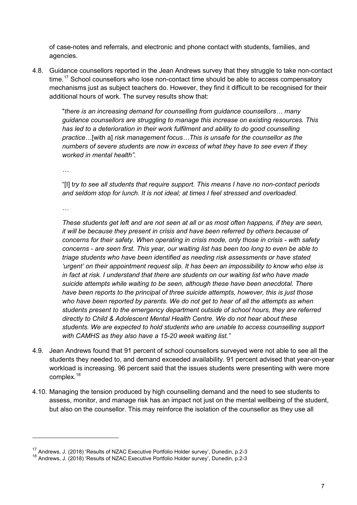of case-notes and referrals, and electronic and phone contact with students, families, and agencies.

4.8. Guidance counsellors reported in the Jean Andrews survey that they struggle to take non-contact time.<sup>[17](#page-7-0)</sup> School counsellors who lose non-contact time should be able to access compensatory mechanisms just as subject teachers do. However, they find it difficult to be recognised for their additional hours of work. The survey results show that:

"*there is an increasing demand for counselling from guidance counsellors… many guidance counsellors are struggling to manage this increase on existing resources. This has led to a deterioration in their work fulfilment and ability to do good counselling practice*…[with a] *risk management focus…This is unsafe for the counsellor as the numbers of severe students are now in excess of what they have to see even if they worked in mental health".*

*…*

"[I] t*ry to see all students that require support. This means I have no non-contact periods and seldom stop for lunch. It is not ideal; at times I feel stressed and overloaded.*

*…*

-

*These students get left and are not seen at all or as most often happens, if they are seen, it will be because they present in crisis and have been referred by others because of concerns for their safety. When operating in crisis mode, only those in crisis - with safety concerns - are seen first. This year, our waiting list has been too long to even be able to triage students who have been identified as needing risk assessments or have stated 'urgent' on their appointment request slip. It has been an impossibility to know who else is in fact at risk. I understand that there are students on our waiting list who have made suicide attempts while waiting to be seen, although these have been anecdotal. There have been reports to the principal of three suicide attempts, however, this is just those who have been reported by parents. We do not get to hear of all the attempts as when students present to the emergency department outside of school hours, they are referred directly to Child & Adolescent Mental Health Centre. We do not hear about these students. We are expected to hold students who are unable to access counselling support with CAMHS as they also have a 15-20 week waiting list."* 

- 4.9. Jean Andrews found that 91 percent of school counsellors surveyed were not able to see all the students they needed to, and demand exceeded availability. 91 percent advised that year-on-year workload is increasing. 96 percent said that the issues students were presenting with were more complex.[18](#page-7-1)
- 4.10. Managing the tension produced by high counselling demand and the need to see students to assess, monitor, and manage risk has an impact not just on the mental wellbeing of the student, but also on the counsellor. This may reinforce the isolation of the counsellor as they use all

<span id="page-7-0"></span><sup>&</sup>lt;sup>17</sup> Andrews, J. (2018) 'Results of NZAC Executive Portfolio Holder survey', Dunedin, p.2-3

<span id="page-7-1"></span><sup>18</sup> Andrews, J. (2018) 'Results of NZAC Executive Portfolio Holder survey', Dunedin, p.2-3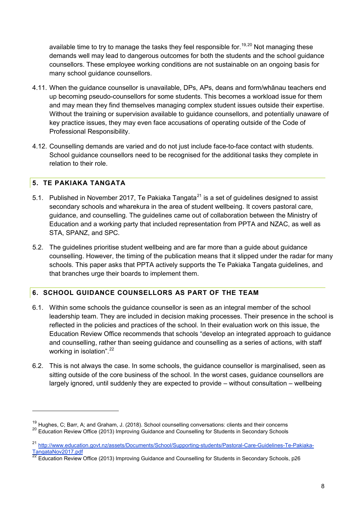available time to try to manage the tasks they feel responsible for.<sup>[19](#page-8-2),[20](#page-8-3)</sup> Not managing these demands well may lead to dangerous outcomes for both the students and the school guidance counsellors. These employee working conditions are not sustainable on an ongoing basis for many school guidance counsellors.

- 4.11. When the guidance counsellor is unavailable, DPs, APs, deans and form/whānau teachers end up becoming pseudo-counsellors for some students. This becomes a workload issue for them and may mean they find themselves managing complex student issues outside their expertise. Without the training or supervision available to guidance counsellors, and potentially unaware of key practice issues, they may even face accusations of operating outside of the Code of Professional Responsibility.
- 4.12. Counselling demands are varied and do not just include face-to-face contact with students. School guidance counsellors need to be recognised for the additional tasks they complete in relation to their role.

#### <span id="page-8-0"></span>**5. TE PAKIAKA TANGATA**

-

- 5.1. Published in November 2017, Te Pakiaka Tangata<sup>[21](#page-8-4)</sup> is a set of quidelines designed to assist secondary schools and wharekura in the area of student wellbeing. It covers pastoral care, guidance, and counselling. The guidelines came out of collaboration between the Ministry of Education and a working party that included representation from PPTA and NZAC, as well as STA, SPANZ, and SPC.
- 5.2. The guidelines prioritise student wellbeing and are far more than a guide about guidance counselling. However, the timing of the publication means that it slipped under the radar for many schools. This paper asks that PPTA actively supports the Te Pakiaka Tangata guidelines, and that branches urge their boards to implement them.

### <span id="page-8-1"></span>**6. SCHOOL GUIDANCE COUNSELLORS AS PART OF THE TEAM**

- 6.1. Within some schools the guidance counsellor is seen as an integral member of the school leadership team. They are included in decision making processes. Their presence in the school is reflected in the policies and practices of the school. In their evaluation work on this issue, the Education Review Office recommends that schools "develop an integrated approach to guidance and counselling, rather than seeing guidance and counselling as a series of actions, with staff working in isolation".<sup>[22](#page-8-5)</sup>
- 6.2. This is not always the case. In some schools, the guidance counsellor is marginalised, seen as sitting outside of the core business of the school. In the worst cases, guidance counsellors are largely ignored, until suddenly they are expected to provide – without consultation – wellbeing

<span id="page-8-3"></span><span id="page-8-2"></span><sup>&</sup>lt;sup>19</sup> Hughes, C; Barr, A; and Graham, J. (2018). School counselling conversations: clients and their concerns  $^{20}$  Education Review Office (2013) Improving Guidance and Counselling for Students in Secondary Schools

<span id="page-8-4"></span><sup>&</sup>lt;sup>21</sup> [http://www.education.govt.nz/assets/Documents/School/Supporting](http://www.education.govt.nz/assets/Documents/School/Supporting-students/Pastoral-Care-Guidelines-Te-Pakiaka-TangataNov2017.pdf)-students/Pastoral-Care-Guidelines-Te-Pakiaka-<br>TangataNov2017.pdf<br><sup>22</sup> Education Paxiou: Office (2013) Increases and the contract of the contract of the c

<span id="page-8-5"></span>Education Review Office (2013) Improving Guidance and Counselling for Students in Secondary Schools, p26